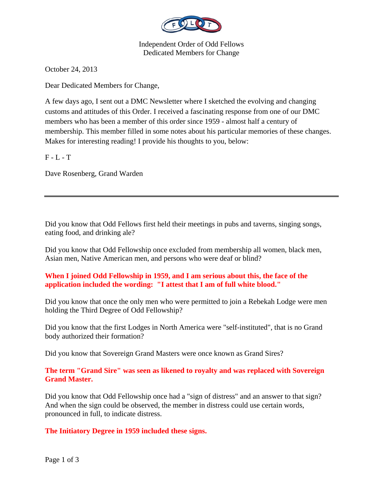

Independent Order of Odd Fellows Dedicated Members for Change

October 24, 2013

Dear Dedicated Members for Change,

A few days ago, I sent out a DMC Newsletter where I sketched the evolving and changing customs and attitudes of this Order. I received a fascinating response from one of our DMC members who has been a member of this order since 1959 - almost half a century of membership. This member filled in some notes about his particular memories of these changes. Makes for interesting reading! I provide his thoughts to you, below:

 $F - L - T$ 

Dave Rosenberg, Grand Warden

Did you know that Odd Fellows first held their meetings in pubs and taverns, singing songs, eating food, and drinking ale?

Did you know that Odd Fellowship once excluded from membership all women, black men, Asian men, Native American men, and persons who were deaf or blind?

# **When I joined Odd Fellowship in 1959, and I am serious about this, the face of the application included the wording: "I attest that I am of full white blood."**

Did you know that once the only men who were permitted to join a Rebekah Lodge were men holding the Third Degree of Odd Fellowship?

Did you know that the first Lodges in North America were "self-instituted", that is no Grand body authorized their formation?

Did you know that Sovereign Grand Masters were once known as Grand Sires?

## **The term "Grand Sire" was seen as likened to royalty and was replaced with Sovereign Grand Master.**

Did you know that Odd Fellowship once had a "sign of distress" and an answer to that sign? And when the sign could be observed, the member in distress could use certain words, pronounced in full, to indicate distress.

# **The Initiatory Degree in 1959 included these signs.**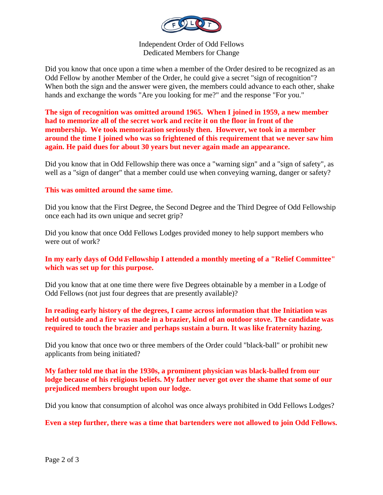

Independent Order of Odd Fellows Dedicated Members for Change

Did you know that once upon a time when a member of the Order desired to be recognized as an Odd Fellow by another Member of the Order, he could give a secret "sign of recognition"? When both the sign and the answer were given, the members could advance to each other, shake hands and exchange the words "Are you looking for me?" and the response "For you."

**The sign of recognition was omitted around 1965. When I joined in 1959, a new member had to memorize all of the secret work and recite it on the floor in front of the membership. We took memorization seriously then. However, we took in a member around the time I joined who was so frightened of this requirement that we never saw him again. He paid dues for about 30 years but never again made an appearance.**

Did you know that in Odd Fellowship there was once a "warning sign" and a "sign of safety", as well as a "sign of danger" that a member could use when conveying warning, danger or safety?

#### **This was omitted around the same time.**

Did you know that the First Degree, the Second Degree and the Third Degree of Odd Fellowship once each had its own unique and secret grip?

Did you know that once Odd Fellows Lodges provided money to help support members who were out of work?

## **In my early days of Odd Fellowship I attended a monthly meeting of a "Relief Committee" which was set up for this purpose.**

Did you know that at one time there were five Degrees obtainable by a member in a Lodge of Odd Fellows (not just four degrees that are presently available)?

## **In reading early history of the degrees, I came across information that the Initiation was held outside and a fire was made in a brazier, kind of an outdoor stove. The candidate was required to touch the brazier and perhaps sustain a burn. It was like fraternity hazing.**

Did you know that once two or three members of the Order could "black-ball" or prohibit new applicants from being initiated?

## **My father told me that in the 1930s, a prominent physician was black-balled from our lodge because of his religious beliefs. My father never got over the shame that some of our prejudiced members brought upon our lodge.**

Did you know that consumption of alcohol was once always prohibited in Odd Fellows Lodges?

**Even a step further, there was a time that bartenders were not allowed to join Odd Fellows.**